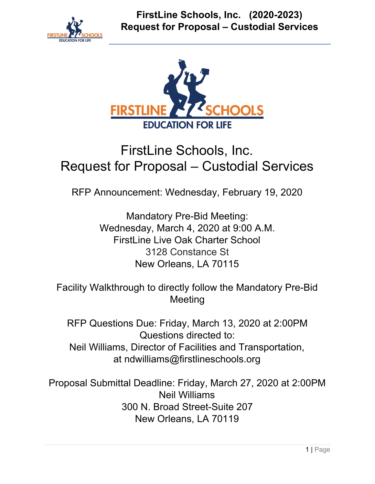



# FirstLine Schools, Inc. Request for Proposal – Custodial Services

RFP Announcement: Wednesday, February 19, 2020

Mandatory Pre-Bid Meeting: Wednesday, March 4, 2020 at 9:00 A.M. FirstLine Live Oak Charter School 3128 Constance St New Orleans, LA 70115

Facility Walkthrough to directly follow the Mandatory Pre-Bid Meeting

RFP Questions Due: Friday, March 13, 2020 at 2:00PM Questions directed to: Neil Williams, Director of Facilities and Transportation, at ndwilliams@firstlineschools.org

Proposal Submittal Deadline: Friday, March 27, 2020 at 2:00PM Neil Williams 300 N. Broad Street-Suite 207 New Orleans, LA 70119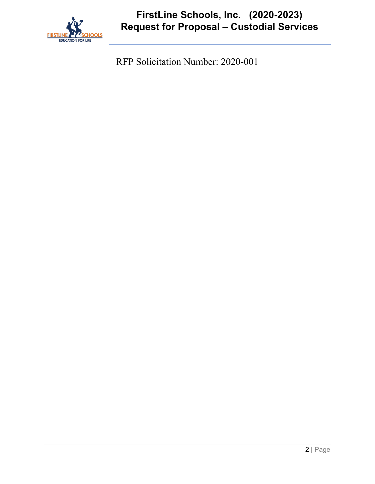

# **FirstLine Schools, Inc. (2020-2023) Request for Proposal – Custodial Services**

RFP Solicitation Number: 2020-001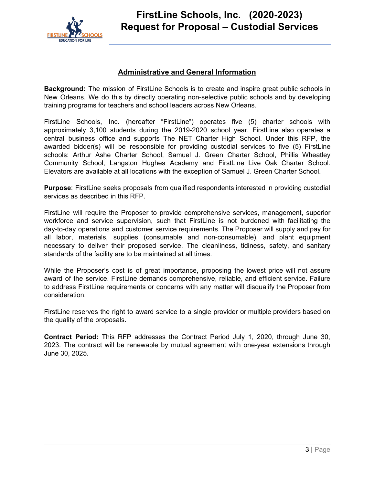

#### **Administrative and General Information**

**Background:** The mission of FirstLine Schools is to create and inspire great public schools in New Orleans. We do this by directly operating non-selective public schools and by developing training programs for teachers and school leaders across New Orleans.

FirstLine Schools, Inc. (hereafter "FirstLine") operates five (5) charter schools with approximately 3,100 students during the 2019-2020 school year. FirstLine also operates a central business office and supports The NET Charter High School. Under this RFP, the awarded bidder(s) will be responsible for providing custodial services to five (5) FirstLine schools: Arthur Ashe Charter School, Samuel J. Green Charter School, Phillis Wheatley Community School, Langston Hughes Academy and FirstLine Live Oak Charter School. Elevators are available at all locations with the exception of Samuel J. Green Charter School.

**Purpose**: FirstLine seeks proposals from qualified respondents interested in providing custodial services as described in this RFP.

FirstLine will require the Proposer to provide comprehensive services, management, superior workforce and service supervision, such that FirstLine is not burdened with facilitating the day-to-day operations and customer service requirements. The Proposer will supply and pay for all labor, materials, supplies (consumable and non-consumable), and plant equipment necessary to deliver their proposed service. The cleanliness, tidiness, safety, and sanitary standards of the facility are to be maintained at all times.

While the Proposer's cost is of great importance, proposing the lowest price will not assure award of the service. FirstLine demands comprehensive, reliable, and efficient service. Failure to address FirstLine requirements or concerns with any matter will disqualify the Proposer from consideration.

FirstLine reserves the right to award service to a single provider or multiple providers based on the quality of the proposals.

**Contract Period:** This RFP addresses the Contract Period July 1, 2020, through June 30, 2023. The contract will be renewable by mutual agreement with one-year extensions through June 30, 2025.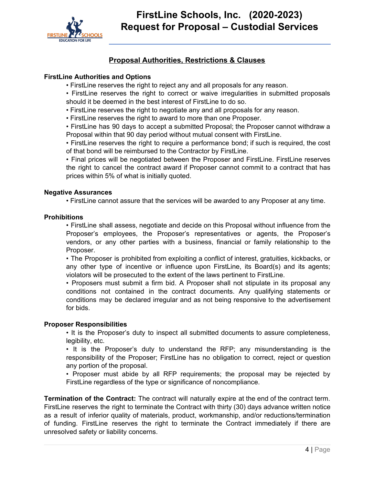

# **Proposal Authorities, Restrictions & Clauses**

#### **FirstLine Authorities and Options**

- FirstLine reserves the right to reject any and all proposals for any reason.
- FirstLine reserves the right to correct or waive irregularities in submitted proposals should it be deemed in the best interest of FirstLine to do so.
- FirstLine reserves the right to negotiate any and all proposals for any reason.
- FirstLine reserves the right to award to more than one Proposer.

• FirstLine has 90 days to accept a submitted Proposal; the Proposer cannot withdraw a Proposal within that 90 day period without mutual consent with FirstLine.

• FirstLine reserves the right to require a performance bond; if such is required, the cost of that bond will be reimbursed to the Contractor by FirstLine.

• Final prices will be negotiated between the Proposer and FirstLine. FirstLine reserves the right to cancel the contract award if Proposer cannot commit to a contract that has prices within 5% of what is initially quoted.

#### **Negative Assurances**

• FirstLine cannot assure that the services will be awarded to any Proposer at any time.

#### **Prohibitions**

• FirstLine shall assess, negotiate and decide on this Proposal without influence from the Proposer's employees, the Proposer's representatives or agents, the Proposer's vendors, or any other parties with a business, financial or family relationship to the Proposer.

• The Proposer is prohibited from exploiting a conflict of interest, gratuities, kickbacks, or any other type of incentive or influence upon FirstLine, its Board(s) and its agents; violators will be prosecuted to the extent of the laws pertinent to FirstLine.

• Proposers must submit a firm bid. A Proposer shall not stipulate in its proposal any conditions not contained in the contract documents. Any qualifying statements or conditions may be declared irregular and as not being responsive to the advertisement for bids.

#### **Proposer Responsibilities**

• It is the Proposer's duty to inspect all submitted documents to assure completeness, legibility, etc.

• It is the Proposer's duty to understand the RFP; any misunderstanding is the responsibility of the Proposer; FirstLine has no obligation to correct, reject or question any portion of the proposal.

• Proposer must abide by all RFP requirements; the proposal may be rejected by FirstLine regardless of the type or significance of noncompliance.

**Termination of the Contract:** The contract will naturally expire at the end of the contract term. FirstLine reserves the right to terminate the Contract with thirty (30) days advance written notice as a result of inferior quality of materials, product, workmanship, and/or reductions/termination of funding. FirstLine reserves the right to terminate the Contract immediately if there are unresolved safety or liability concerns.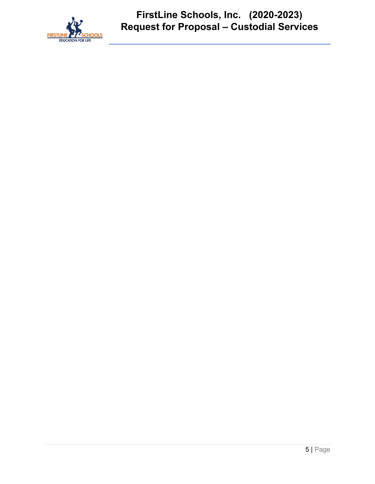

# **FirstLine Schools, Inc. (2020-2023) Request for Proposal – Custodial Services**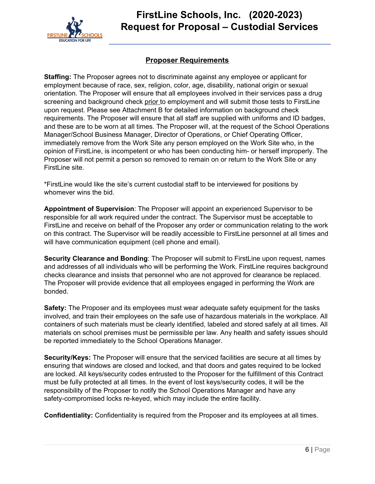

# **Proposer Requirements**

**Staffing:** The Proposer agrees not to discriminate against any employee or applicant for employment because of race, sex, religion, color, age, disability, national origin or sexual orientation. The Proposer will ensure that all employees involved in their services pass a drug screening and background check prior to employment and will submit those tests to FirstLine upon request. Please see Attachment B for detailed information on background check requirements. The Proposer will ensure that all staff are supplied with uniforms and ID badges, and these are to be worn at all times. The Proposer will, at the request of the School Operations Manager/School Business Manager, Director of Operations, or Chief Operating Officer, immediately remove from the Work Site any person employed on the Work Site who, in the opinion of FirstLine, is incompetent or who has been conducting him- or herself improperly. The Proposer will not permit a person so removed to remain on or return to the Work Site or any FirstLine site.

\*FirstLine would like the site's current custodial staff to be interviewed for positions by whomever wins the bid.

**Appointment of Supervision**: The Proposer will appoint an experienced Supervisor to be responsible for all work required under the contract. The Supervisor must be acceptable to FirstLine and receive on behalf of the Proposer any order or communication relating to the work on this contract. The Supervisor will be readily accessible to FirstLine personnel at all times and will have communication equipment (cell phone and email).

**Security Clearance and Bonding**: The Proposer will submit to FirstLine upon request, names and addresses of all individuals who will be performing the Work. FirstLine requires background checks clearance and insists that personnel who are not approved for clearance be replaced. The Proposer will provide evidence that all employees engaged in performing the Work are bonded.

**Safety:** The Proposer and its employees must wear adequate safety equipment for the tasks involved, and train their employees on the safe use of hazardous materials in the workplace. All containers of such materials must be clearly identified, labeled and stored safely at all times. All materials on school premises must be permissible per law. Any health and safety issues should be reported immediately to the School Operations Manager.

**Security/Keys:** The Proposer will ensure that the serviced facilities are secure at all times by ensuring that windows are closed and locked, and that doors and gates required to be locked are locked. All keys/security codes entrusted to the Proposer for the fulfillment of this Contract must be fully protected at all times. In the event of lost keys/security codes, it will be the responsibility of the Proposer to notify the School Operations Manager and have any safety-compromised locks re-keyed, which may include the entire facility.

**Confidentiality:** Confidentiality is required from the Proposer and its employees at all times.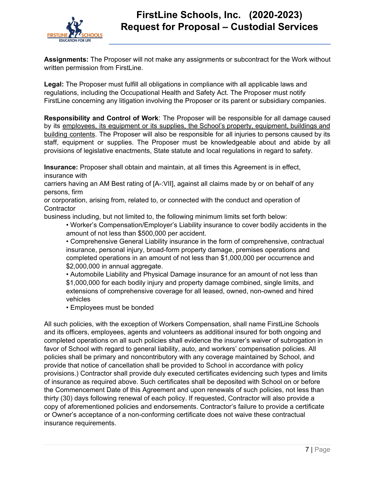

**Assignments:** The Proposer will not make any assignments or subcontract for the Work without written permission from FirstLine.

**Legal:** The Proposer must fulfill all obligations in compliance with all applicable laws and regulations, including the Occupational Health and Safety Act. The Proposer must notify FirstLine concerning any litigation involving the Proposer or its parent or subsidiary companies.

**Responsibility and Control of Work**: The Proposer will be responsible for all damage caused by its employees, its equipment or its supplies, the School's property, equipment, buildings and building contents. The Proposer will also be responsible for all injuries to persons caused by its staff, equipment or supplies. The Proposer must be knowledgeable about and abide by all provisions of legislative enactments, State statute and local regulations in regard to safety.

**Insurance:** Proposer shall obtain and maintain, at all times this Agreement is in effect, insurance with

carriers having an AM Best rating of [A-:VII], against all claims made by or on behalf of any persons, firm

or corporation, arising from, related to, or connected with the conduct and operation of **Contractor** 

business including, but not limited to, the following minimum limits set forth below:

• Worker's Compensation/Employer's Liability insurance to cover bodily accidents in the amount of not less than \$500,000 per accident.

• Comprehensive General Liability insurance in the form of comprehensive, contractual insurance, personal injury, broad-form property damage, premises operations and completed operations in an amount of not less than \$1,000,000 per occurrence and \$2,000,000 in annual aggregate.

• Automobile Liability and Physical Damage insurance for an amount of not less than \$1,000,000 for each bodily injury and property damage combined, single limits, and extensions of comprehensive coverage for all leased, owned, non-owned and hired vehicles

• Employees must be bonded

All such policies, with the exception of Workers Compensation, shall name FirstLine Schools and its officers, employees, agents and volunteers as additional insured for both ongoing and completed operations on all such policies shall evidence the insurer's waiver of subrogation in favor of School with regard to general liability, auto, and workers' compensation policies. All policies shall be primary and noncontributory with any coverage maintained by School, and provide that notice of cancellation shall be provided to School in accordance with policy provisions.) Contractor shall provide duly executed certificates evidencing such types and limits of insurance as required above. Such certificates shall be deposited with School on or before the Commencement Date of this Agreement and upon renewals of such policies, not less than thirty (30) days following renewal of each policy. If requested, Contractor will also provide a copy of aforementioned policies and endorsements. Contractor's failure to provide a certificate or Owner's acceptance of a non-conforming certificate does not waive these contractual insurance requirements.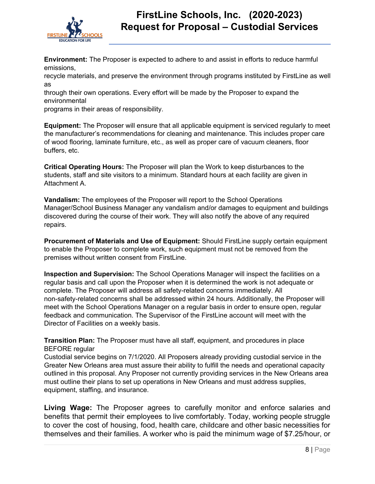

**Environment:** The Proposer is expected to adhere to and assist in efforts to reduce harmful emissions,

recycle materials, and preserve the environment through programs instituted by FirstLine as well as

through their own operations. Every effort will be made by the Proposer to expand the environmental

programs in their areas of responsibility.

**Equipment:** The Proposer will ensure that all applicable equipment is serviced regularly to meet the manufacturer's recommendations for cleaning and maintenance. This includes proper care of wood flooring, laminate furniture, etc., as well as proper care of vacuum cleaners, floor buffers, etc.

**Critical Operating Hours:** The Proposer will plan the Work to keep disturbances to the students, staff and site visitors to a minimum. Standard hours at each facility are given in Attachment A.

**Vandalism:** The employees of the Proposer will report to the School Operations Manager/School Business Manager any vandalism and/or damages to equipment and buildings discovered during the course of their work. They will also notify the above of any required repairs.

**Procurement of Materials and Use of Equipment:** Should FirstLine supply certain equipment to enable the Proposer to complete work, such equipment must not be removed from the premises without written consent from FirstLine.

**Inspection and Supervision:** The School Operations Manager will inspect the facilities on a regular basis and call upon the Proposer when it is determined the work is not adequate or complete. The Proposer will address all safety-related concerns immediately. All non-safety-related concerns shall be addressed within 24 hours. Additionally, the Proposer will meet with the School Operations Manager on a regular basis in order to ensure open, regular feedback and communication. The Supervisor of the FirstLine account will meet with the Director of Facilities on a weekly basis.

**Transition Plan:** The Proposer must have all staff, equipment, and procedures in place BEFORE regular

Custodial service begins on 7/1/2020. All Proposers already providing custodial service in the Greater New Orleans area must assure their ability to fulfill the needs and operational capacity outlined in this proposal. Any Proposer not currently providing services in the New Orleans area must outline their plans to set up operations in New Orleans and must address supplies, equipment, staffing, and insurance.

**Living Wage:** The Proposer agrees to carefully monitor and enforce salaries and benefits that permit their employees to live comfortably. Today, working people struggle to cover the cost of housing, food, health care, childcare and other basic necessities for themselves and their families. A worker who is paid the minimum wage of \$7.25/hour, or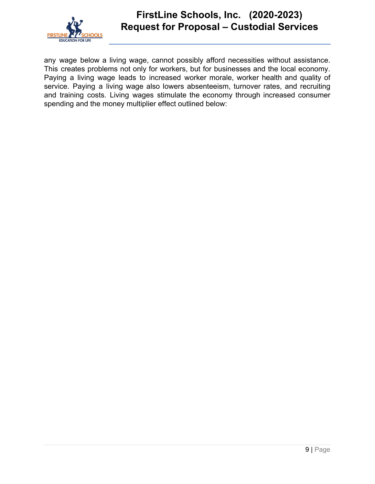

any wage below a living wage, cannot possibly afford necessities without assistance. This creates problems not only for workers, but for businesses and the local economy. Paying a living wage leads to increased worker morale, worker health and quality of service. Paying a living wage also lowers absenteeism, turnover rates, and recruiting and training costs. Living wages stimulate the economy through increased consumer spending and the money multiplier effect outlined below: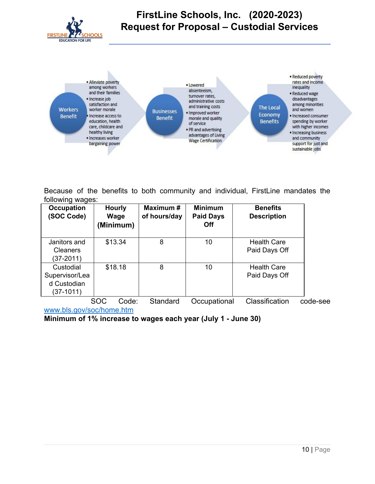

# **FirstLine Schools, Inc. (2020-2023) Request for Proposal – Custodial Services**



Because of the benefits to both community and individual, FirstLine mandates the following wages:

| <b>Occupation</b><br>(SOC Code)                         | <b>Hourly</b><br>Wage<br>(Minimum) | Maximum #<br>of hours/day | <b>Minimum</b><br><b>Paid Days</b><br>Off | <b>Benefits</b><br><b>Description</b> |
|---------------------------------------------------------|------------------------------------|---------------------------|-------------------------------------------|---------------------------------------|
| Janitors and<br><b>Cleaners</b><br>(37-2011)            | \$13.34                            | 8                         | 10                                        | <b>Health Care</b><br>Paid Days Off   |
| Custodial<br>Supervisor/Lea<br>d Custodian<br>(37-1011) | \$18.18                            | 8                         | 10                                        | <b>Health Care</b><br>Paid Days Off   |
|                                                         | <b>coo</b><br>$C$ $O$ $O$ .        | Ctondord                  | Occupational                              | Cloccification<br>oodo.               |

SOC Code: Standard Occupational Classification code-see [www.bls.gov/soc/home.htm](http://www.bls.gov/soc/home.htm)

**Minimum of 1% increase to wages each year (July 1 - June 30)**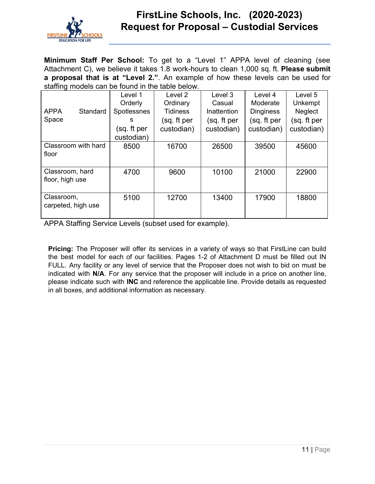

**Minimum Staff Per School:** To get to a "Level 1" APPA level of cleaning (see Attachment C), we believe it takes 1.8 work-hours to clean 1,000 sq. ft. **Please submit a proposal that is at "Level 2."**. An example of how these levels can be used for staffing models can be found in the table below.

|                                    | Level 1     | Level 2         | Level 3     | Level 4          | Level 5        |
|------------------------------------|-------------|-----------------|-------------|------------------|----------------|
|                                    | Orderly     | Ordinary        | Casual      | Moderate         | Unkempt        |
| <b>APPA</b><br>Standard            | Spotlessnes | <b>Tidiness</b> | Inattention | <b>Dinginess</b> | <b>Neglect</b> |
| Space                              | s           | (sq. ft per     | (sq. ft per | (sq. ft per      | (sq. ft per    |
|                                    | (sq. ft per | custodian)      | custodian)  | custodian)       | custodian)     |
|                                    | custodian)  |                 |             |                  |                |
| Classroom with hard<br>floor       | 8500        | 16700           | 26500       | 39500            | 45600          |
| Classroom, hard<br>floor, high use | 4700        | 9600            | 10100       | 21000            | 22900          |
| Classroom,<br>carpeted, high use   | 5100        | 12700           | 13400       | 17900            | 18800          |

APPA Staffing Service Levels (subset used for example).

**Pricing:** The Proposer will offer its services in a variety of ways so that FirstLine can build the best model for each of our facilities. Pages 1-2 of Attachment D must be filled out IN FULL. Any facility or any level of service that the Proposer does not wish to bid on must be indicated with **N/A**. For any service that the proposer will include in a price on another line, please indicate such with **INC** and reference the applicable line. Provide details as requested in all boxes, and additional information as necessary.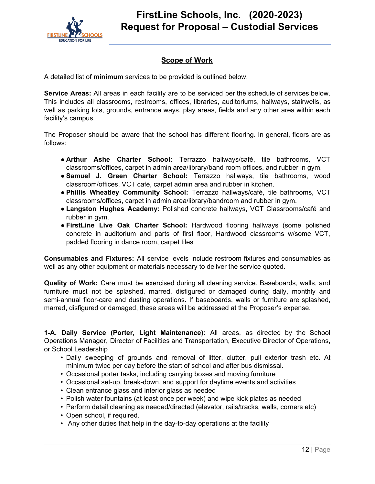

# **Scope of Work**

A detailed list of **minimum** services to be provided is outlined below.

**Service Areas:** All areas in each facility are to be serviced per the schedule of services below. This includes all classrooms, restrooms, offices, libraries, auditoriums, hallways, stairwells, as well as parking lots, grounds, entrance ways, play areas, fields and any other area within each facility's campus.

The Proposer should be aware that the school has different flooring. In general, floors are as follows:

- **Arthur Ashe Charter School:** Terrazzo hallways/café, tile bathrooms, VCT classrooms/offices, carpet in admin area/library/band room offices, and rubber in gym.
- **Samuel J. Green Charter School:** Terrazzo hallways, tile bathrooms, wood classroom/offices, VCT café, carpet admin area and rubber in kitchen.
- **Phillis Wheatley Community School:** Terrazzo hallways/café, tile bathrooms, VCT classrooms/offices, carpet in admin area/library/bandroom and rubber in gym.
- **Langston Hughes Academy:** Polished concrete hallways, VCT Classrooms/café and rubber in gym.
- **FirstLine Live Oak Charter School:** Hardwood flooring hallways (some polished concrete in auditorium and parts of first floor, Hardwood classrooms w/some VCT, padded flooring in dance room, carpet tiles

**Consumables and Fixtures:** All service levels include restroom fixtures and consumables as well as any other equipment or materials necessary to deliver the service quoted.

**Quality of Work:** Care must be exercised during all cleaning service. Baseboards, walls, and furniture must not be splashed, marred, disfigured or damaged during daily, monthly and semi-annual floor-care and dusting operations. If baseboards, walls or furniture are splashed, marred, disfigured or damaged, these areas will be addressed at the Proposer's expense.

**1-A. Daily Service (Porter, Light Maintenance):** All areas, as directed by the School Operations Manager, Director of Facilities and Transportation, Executive Director of Operations, or School Leadership

- Daily sweeping of grounds and removal of litter, clutter, pull exterior trash etc. At minimum twice per day before the start of school and after bus dismissal.
- Occasional porter tasks, including carrying boxes and moving furniture
- Occasional set-up, break-down, and support for daytime events and activities
- Clean entrance glass and interior glass as needed
- Polish water fountains (at least once per week) and wipe kick plates as needed
- Perform detail cleaning as needed/directed (elevator, rails/tracks, walls, corners etc)
- Open school, if required.
- Any other duties that help in the day-to-day operations at the facility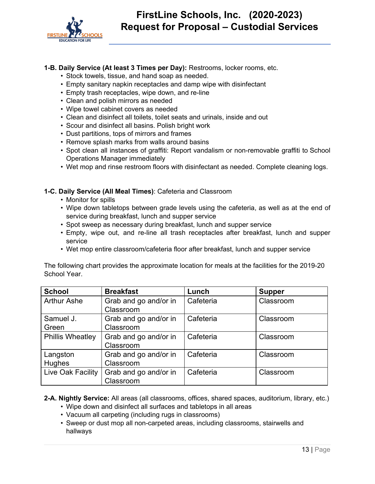

#### **1-B. Daily Service (At least 3 Times per Day):** Restrooms, locker rooms, etc.

- Stock towels, tissue, and hand soap as needed.
- Empty sanitary napkin receptacles and damp wipe with disinfectant
- Empty trash receptacles, wipe down, and re-line
- Clean and polish mirrors as needed
- Wipe towel cabinet covers as needed
- Clean and disinfect all toilets, toilet seats and urinals, inside and out
- Scour and disinfect all basins. Polish bright work
- Dust partitions, tops of mirrors and frames
- Remove splash marks from walls around basins
- Spot clean all instances of graffiti: Report vandalism or non-removable graffiti to School Operations Manager immediately
- Wet mop and rinse restroom floors with disinfectant as needed. Complete cleaning logs.

#### **1-C. Daily Service (All Meal Times)**: Cafeteria and Classroom

- Monitor for spills
- Wipe down tabletops between grade levels using the cafeteria, as well as at the end of service during breakfast, lunch and supper service
- Spot sweep as necessary during breakfast, lunch and supper service
- Empty, wipe out, and re-line all trash receptacles after breakfast, lunch and supper service
- Wet mop entire classroom/cafeteria floor after breakfast, lunch and supper service

The following chart provides the approximate location for meals at the facilities for the 2019-20 School Year.

| <b>School</b>             | <b>Breakfast</b>                   | Lunch     | <b>Supper</b> |
|---------------------------|------------------------------------|-----------|---------------|
| <b>Arthur Ashe</b>        | Grab and go and/or in<br>Classroom | Cafeteria | Classroom     |
| Samuel J.<br>Green        | Grab and go and/or in<br>Classroom | Cafeteria | Classroom     |
| <b>Phillis Wheatley</b>   | Grab and go and/or in<br>Classroom | Cafeteria | Classroom     |
| Langston<br><b>Hughes</b> | Grab and go and/or in<br>Classroom | Cafeteria | Classroom     |
| Live Oak Facility         | Grab and go and/or in<br>Classroom | Cafeteria | Classroom     |

#### **2-A. Nightly Service:** All areas (all classrooms, offices, shared spaces, auditorium, library, etc.)

- Wipe down and disinfect all surfaces and tabletops in all areas
- Vacuum all carpeting (including rugs in classrooms)
- Sweep or dust mop all non-carpeted areas, including classrooms, stairwells and hallways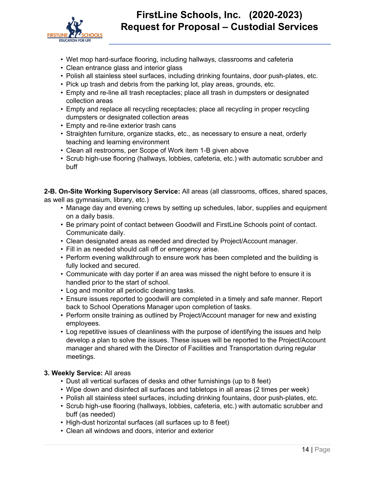

- Wet mop hard-surface flooring, including hallways, classrooms and cafeteria
- Clean entrance glass and interior glass
- Polish all stainless steel surfaces, including drinking fountains, door push-plates, etc.
- Pick up trash and debris from the parking lot, play areas, grounds, etc.
- Empty and re-line all trash receptacles; place all trash in dumpsters or designated collection areas
- Empty and replace all recycling receptacles; place all recycling in proper recycling dumpsters or designated collection areas
- Empty and re-line exterior trash cans
- Straighten furniture, organize stacks, etc., as necessary to ensure a neat, orderly teaching and learning environment
- Clean all restrooms, per Scope of Work item 1-B given above
- Scrub high-use flooring (hallways, lobbies, cafeteria, etc.) with automatic scrubber and buff

**2-B. On-Site Working Supervisory Service:** All areas (all classrooms, offices, shared spaces, as well as gymnasium, library, etc.)

- Manage day and evening crews by setting up schedules, labor, supplies and equipment on a daily basis.
- Be primary point of contact between Goodwill and FirstLine Schools point of contact. Communicate daily.
- Clean designated areas as needed and directed by Project/Account manager.
- Fill in as needed should call off or emergency arise.
- Perform evening walkthrough to ensure work has been completed and the building is fully locked and secured.
- Communicate with day porter if an area was missed the night before to ensure it is handled prior to the start of school.
- Log and monitor all periodic cleaning tasks.
- Ensure issues reported to goodwill are completed in a timely and safe manner. Report back to School Operations Manager upon completion of tasks.
- Perform onsite training as outlined by Project/Account manager for new and existing employees.
- Log repetitive issues of cleanliness with the purpose of identifying the issues and help develop a plan to solve the issues. These issues will be reported to the Project/Account manager and shared with the Director of Facilities and Transportation during regular meetings.

#### **3. Weekly Service:** All areas

- Dust all vertical surfaces of desks and other furnishings (up to 8 feet)
- Wipe down and disinfect all surfaces and tabletops in all areas (2 times per week)
- Polish all stainless steel surfaces, including drinking fountains, door push-plates, etc.
- Scrub high-use flooring (hallways, lobbies, cafeteria, etc.) with automatic scrubber and buff (as needed)
- High-dust horizontal surfaces (all surfaces up to 8 feet)
- Clean all windows and doors, interior and exterior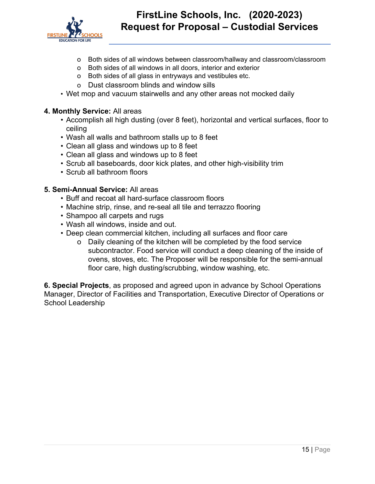

- o Both sides of all windows between classroom/hallway and classroom/classroom
- o Both sides of all windows in all doors, interior and exterior
- o Both sides of all glass in entryways and vestibules etc.
- o Dust classroom blinds and window sills
- Wet mop and vacuum stairwells and any other areas not mocked daily

#### **4. Monthly Service:** All areas

- Accomplish all high dusting (over 8 feet), horizontal and vertical surfaces, floor to ceiling
- Wash all walls and bathroom stalls up to 8 feet
- Clean all glass and windows up to 8 feet
- Clean all glass and windows up to 8 feet
- Scrub all baseboards, door kick plates, and other high-visibility trim
- Scrub all bathroom floors

#### **5. Semi-Annual Service:** All areas

- Buff and recoat all hard-surface classroom floors
- Machine strip, rinse, and re-seal all tile and terrazzo flooring
- Shampoo all carpets and rugs
- Wash all windows, inside and out.
- Deep clean commercial kitchen, including all surfaces and floor care
	- o Daily cleaning of the kitchen will be completed by the food service subcontractor. Food service will conduct a deep cleaning of the inside of ovens, stoves, etc. The Proposer will be responsible for the semi-annual floor care, high dusting/scrubbing, window washing, etc.

**6. Special Projects**, as proposed and agreed upon in advance by School Operations Manager, Director of Facilities and Transportation, Executive Director of Operations or School Leadership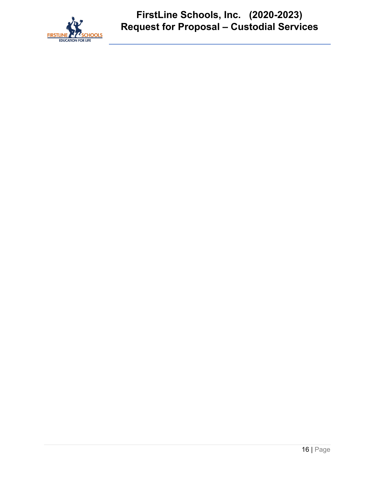

# **FirstLine Schools, Inc. (2020-2023) Request for Proposal – Custodial Services**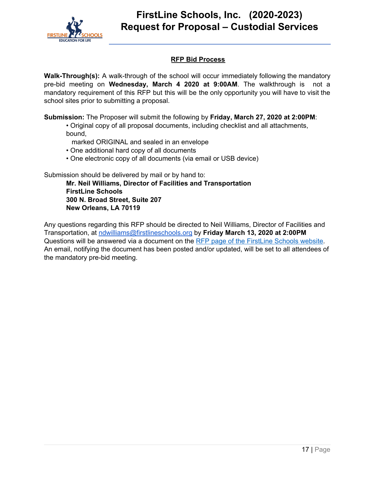

#### **RFP Bid Process**

**Walk-Through(s):** A walk-through of the school will occur immediately following the mandatory pre-bid meeting on **Wednesday, March 4 2020 at 9:00AM**. The walkthrough is not a mandatory requirement of this RFP but this will be the only opportunity you will have to visit the school sites prior to submitting a proposal.

**Submission:** The Proposer will submit the following by **Friday, March 27, 2020 at 2:00PM**:

• Original copy of all proposal documents, including checklist and all attachments, bound,

marked ORIGINAL and sealed in an envelope

- One additional hard copy of all documents
- One electronic copy of all documents (via email or USB device)

Submission should be delivered by mail or by hand to:

**Mr. Neil Williams, Director of Facilities and Transportation FirstLine Schools 300 N. Broad Street, Suite 207 New Orleans, LA 70119**

Any questions regarding this RFP should be directed to Neil Williams, Director of Facilities and Transportation, at [ndwilliams@firstlineschools.org](mailto:ndwilliams@firstlineschools.org) by **Friday March 13, 2020 at 2:00PM** Questions will be answered via a document on the RFP page of the [FirstLine](http://firstlineschools.org/rfps/) Schools website. An email, notifying the document has been posted and/or updated, will be set to all attendees of the mandatory pre-bid meeting.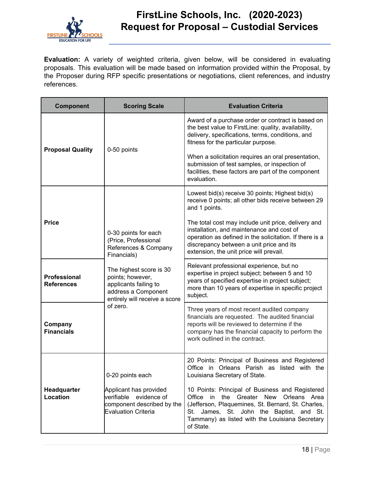

**Evaluation:** A variety of weighted criteria, given below, will be considered in evaluating proposals. This evaluation will be made based on information provided within the Proposal, by the Proposer during RFP specific presentations or negotiations, client references, and industry references.

| <b>Component</b>                         | <b>Scoring Scale</b>                                                                                                             | <b>Evaluation Criteria</b>                                                                                                                                                                                                                                                                                                                                                                               |
|------------------------------------------|----------------------------------------------------------------------------------------------------------------------------------|----------------------------------------------------------------------------------------------------------------------------------------------------------------------------------------------------------------------------------------------------------------------------------------------------------------------------------------------------------------------------------------------------------|
| <b>Proposal Quality</b>                  | 0-50 points                                                                                                                      | Award of a purchase order or contract is based on<br>the best value to FirstLine: quality, availability,<br>delivery, specifications, terms, conditions, and<br>fitness for the particular purpose.<br>When a solicitation requires an oral presentation,<br>submission of test samples, or inspection of<br>facilities, these factors are part of the component<br>evaluation.                          |
| <b>Price</b>                             | 0-30 points for each<br>(Price, Professional<br>References & Company<br>Financials)                                              | Lowest bid(s) receive 30 points; Highest bid(s)<br>receive 0 points; all other bids receive between 29<br>and 1 points.<br>The total cost may include unit price, delivery and<br>installation, and maintenance and cost of<br>operation as defined in the solicitation. If there is a<br>discrepancy between a unit price and its<br>extension, the unit price will prevail.                            |
| <b>Professional</b><br><b>References</b> | The highest score is 30<br>points; however,<br>applicants failing to<br>address a Component<br>entirely will receive a score     | Relevant professional experience, but no<br>expertise in project subject; between 5 and 10<br>years of specified expertise in project subject;<br>more than 10 years of expertise in specific project<br>subject.                                                                                                                                                                                        |
| Company<br><b>Financials</b>             | of zero.                                                                                                                         | Three years of most recent audited company<br>financials are requested. The audited financial<br>reports will be reviewed to determine if the<br>company has the financial capacity to perform the<br>work outlined in the contract.                                                                                                                                                                     |
| Headquarter<br>Location                  | 0-20 points each<br>Applicant has provided<br>verifiable evidence of<br>component described by the<br><b>Evaluation Criteria</b> | 20 Points: Principal of Business and Registered<br>Office in Orleans Parish as listed with the<br>Louisiana Secretary of State.<br>10 Points: Principal of Business and Registered<br>Office<br>the Greater New Orleans Area<br>in.<br>(Jefferson, Plaquemines, St. Bernard, St. Charles,<br>James, St. John the Baptist, and St.<br>St.<br>Tammany) as listed with the Louisiana Secretary<br>of State. |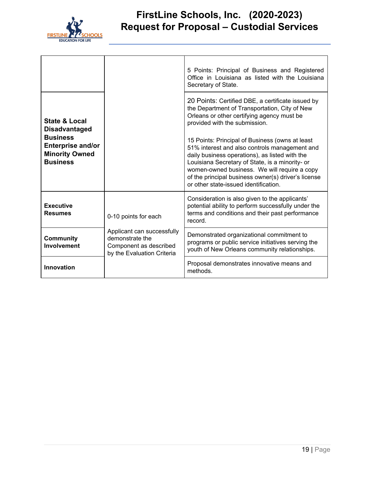

# **FirstLine Schools, Inc. (2020-2023) Request for Proposal – Custodial Services**

|                                                                                                                                             |                                                                                                       | 5 Points: Principal of Business and Registered<br>Office in Louisiana as listed with the Louisiana<br>Secretary of State.                                                                                                                                                                                                                                                                                                                                                                                                                  |
|---------------------------------------------------------------------------------------------------------------------------------------------|-------------------------------------------------------------------------------------------------------|--------------------------------------------------------------------------------------------------------------------------------------------------------------------------------------------------------------------------------------------------------------------------------------------------------------------------------------------------------------------------------------------------------------------------------------------------------------------------------------------------------------------------------------------|
| <b>State &amp; Local</b><br><b>Disadvantaged</b><br><b>Business</b><br><b>Enterprise and/or</b><br><b>Minority Owned</b><br><b>Business</b> |                                                                                                       | 20 Points: Certified DBE, a certificate issued by<br>the Department of Transportation, City of New<br>Orleans or other certifying agency must be<br>provided with the submission.<br>15 Points: Principal of Business (owns at least<br>51% interest and also controls management and<br>daily business operations), as listed with the<br>Louisiana Secretary of State, is a minority- or<br>women-owned business. We will require a copy<br>of the principal business owner(s) driver's license<br>or other state-issued identification. |
| <b>Executive</b><br><b>Resumes</b>                                                                                                          | 0-10 points for each                                                                                  | Consideration is also given to the applicants'<br>potential ability to perform successfully under the<br>terms and conditions and their past performance<br>record.                                                                                                                                                                                                                                                                                                                                                                        |
| <b>Community</b><br><b>Involvement</b>                                                                                                      | Applicant can successfully<br>demonstrate the<br>Component as described<br>by the Evaluation Criteria | Demonstrated organizational commitment to<br>programs or public service initiatives serving the<br>youth of New Orleans community relationships.                                                                                                                                                                                                                                                                                                                                                                                           |
| Innovation                                                                                                                                  |                                                                                                       | Proposal demonstrates innovative means and<br>methods.                                                                                                                                                                                                                                                                                                                                                                                                                                                                                     |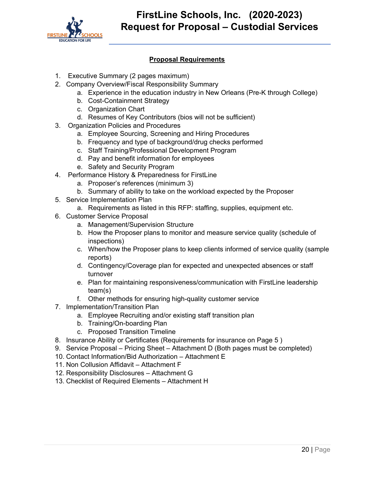

# **Proposal Requirements**

- 1. Executive Summary (2 pages maximum)
- 2. Company Overview/Fiscal Responsibility Summary
	- a. Experience in the education industry in New Orleans (Pre-K through College)
	- b. Cost-Containment Strategy
	- c. Organization Chart
	- d. Resumes of Key Contributors (bios will not be sufficient)
- 3. Organization Policies and Procedures
	- a. Employee Sourcing, Screening and Hiring Procedures
	- b. Frequency and type of background/drug checks performed
	- c. Staff Training/Professional Development Program
	- d. Pay and benefit information for employees
	- e. Safety and Security Program
- 4. Performance History & Preparedness for FirstLine
	- a. Proposer's references (minimum 3)
	- b. Summary of ability to take on the workload expected by the Proposer
- 5. Service Implementation Plan
	- a. Requirements as listed in this RFP: staffing, supplies, equipment etc.
- 6. Customer Service Proposal
	- a. Management/Supervision Structure
	- b. How the Proposer plans to monitor and measure service quality (schedule of inspections)
	- c. When/how the Proposer plans to keep clients informed of service quality (sample reports)
	- d. Contingency/Coverage plan for expected and unexpected absences or staff turnover
	- e. Plan for maintaining responsiveness/communication with FirstLine leadership team(s)
	- f. Other methods for ensuring high-quality customer service
- 7. Implementation/Transition Plan
	- a. Employee Recruiting and/or existing staff transition plan
	- b. Training/On-boarding Plan
	- c. Proposed Transition Timeline
- 8. Insurance Ability or Certificates (Requirements for insurance on Page 5 )
- 9. Service Proposal Pricing Sheet Attachment D (Both pages must be completed)
- 10. Contact Information/Bid Authorization Attachment E
- 11. Non Collusion Affidavit Attachment F
- 12. Responsibility Disclosures Attachment G
- 13. Checklist of Required Elements Attachment H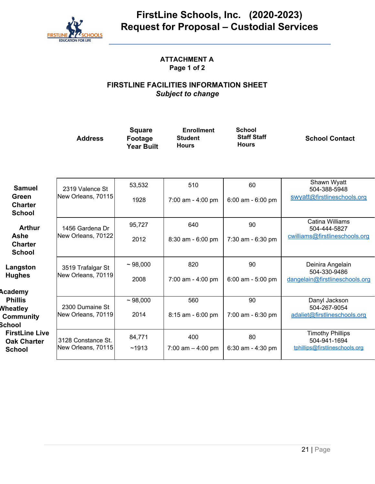

#### **ATTACHMENT A Page 1 of 2**

# **FIRSTLINE FACILITIES INFORMATION SHEET** *Subject to change*

|                                                                 | <b>Address</b>                           | <b>Square</b><br>Footage<br><b>Year Built</b> | <b>Enrollment</b><br><b>Student</b><br><b>Hours</b> | <b>School</b><br><b>Staff Staff</b><br><b>Hours</b> | <b>School Contact</b>                                                     |
|-----------------------------------------------------------------|------------------------------------------|-----------------------------------------------|-----------------------------------------------------|-----------------------------------------------------|---------------------------------------------------------------------------|
| <b>Samuel</b><br>Green<br><b>Charter</b><br><b>School</b>       | 2319 Valence St<br>New Orleans, 70115    | 53,532<br>1928                                | 510<br>7:00 am - 4:00 pm                            | 60<br>6:00 am - 6:00 pm                             | Shawn Wyatt<br>504-388-5948<br>swyatt@firstlineschools.org                |
| <b>Arthur</b><br><b>Ashe</b><br><b>Charter</b><br><b>School</b> | 1456 Gardena Dr<br>New Orleans, 70122    | 95,727<br>2012                                | 640<br>8:30 am - 6:00 pm                            | 90<br>7:30 am - 6:30 pm                             | <b>Catina Williams</b><br>504-444-5827<br>cwilliams@firstlineschools.org  |
| Langston<br><b>Hughes</b><br>Academy                            | 3519 Trafalgar St<br>New Orleans, 70119  | $~1$ 98,000<br>2008                           | 820<br>7:00 am - 4:00 pm                            | 90<br>$6:00$ am - $5:00$ pm                         | Deinira Angelain<br>504-330-9486<br>dangelain@firstlineschools.org        |
| <b>Phillis</b><br><b>Nheatley</b><br><b>Community</b><br>School | 2300 Dumaine St<br>New Orleans, 70119    | $~1$ 98,000<br>2014                           | 560<br>8:15 am - 6:00 pm                            | 90<br>7:00 am - 6:30 pm                             | Danyl Jackson<br>504-267-9054<br>adaliet@firstlineschools.org             |
| <b>FirstLine Live</b><br><b>Oak Charter</b><br><b>School</b>    | 3128 Constance St.<br>New Orleans, 70115 | 84,771<br>~1913                               | 400<br>7:00 am $-$ 4:00 pm                          | 80<br>$6:30$ am - 4:30 pm                           | <b>Timothy Phillips</b><br>504-941-1694<br>tphillips@firstlineschools.org |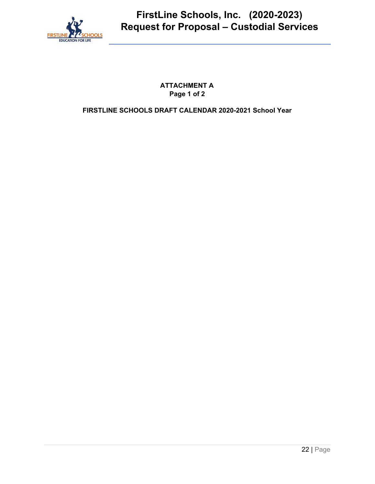

**ATTACHMENT A Page 1 of 2**

**FIRSTLINE SCHOOLS DRAFT CALENDAR 2020-2021 School Year**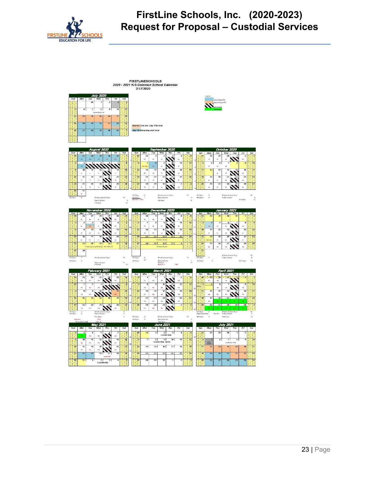

|                                                                                                                                                                                                                                                                                                                                                                                                                                                                                                                                                                                                                                                                                                                                                                                                                                                                                                                                                          | <b>FIRSTLINESCHOOLS</b><br>2020 - 2021 K-8. Common School Calendar<br>2/17/2020                                                                                                                                                                                                                                                                                                                                                                                                                                                                                                                                                                                                                                                                                                                                                                      |                                                                                                                                                                                                                                                                                                                                                                                                                                                                                                                                                                                                                                                                                                                                                                                                                       |
|----------------------------------------------------------------------------------------------------------------------------------------------------------------------------------------------------------------------------------------------------------------------------------------------------------------------------------------------------------------------------------------------------------------------------------------------------------------------------------------------------------------------------------------------------------------------------------------------------------------------------------------------------------------------------------------------------------------------------------------------------------------------------------------------------------------------------------------------------------------------------------------------------------------------------------------------------------|------------------------------------------------------------------------------------------------------------------------------------------------------------------------------------------------------------------------------------------------------------------------------------------------------------------------------------------------------------------------------------------------------------------------------------------------------------------------------------------------------------------------------------------------------------------------------------------------------------------------------------------------------------------------------------------------------------------------------------------------------------------------------------------------------------------------------------------------------|-----------------------------------------------------------------------------------------------------------------------------------------------------------------------------------------------------------------------------------------------------------------------------------------------------------------------------------------------------------------------------------------------------------------------------------------------------------------------------------------------------------------------------------------------------------------------------------------------------------------------------------------------------------------------------------------------------------------------------------------------------------------------------------------------------------------------|
| July 2020<br>Sun<br>Mon<br>Sat<br>Tue<br>Wed<br><b>Jhu</b><br>Fri<br>$\overline{30}$<br>ī<br>$\overline{2}$<br>$\overline{3}$<br>Т.<br>$\sim 1$<br>$\cdot$<br>6<br>8<br>9<br>$\overline{10}$<br>$-11$<br>$\overline{7}$<br>45<br>÷.<br>Lessonvillipused<br>13<br>17<br>$^{19}$<br>$\frac{1}{2}$<br>14<br>15<br>16<br>F.<br>39<br>$\frac{25}{1}$<br>20<br>21<br>22<br>23<br>24<br>26<br>27<br>28<br>29<br>30<br>31<br>$\frac{1}{2}$                                                                                                                                                                                                                                                                                                                                                                                                                                                                                                                       | New to FirstLine: July 13th start<br>July 20: Returning staff start                                                                                                                                                                                                                                                                                                                                                                                                                                                                                                                                                                                                                                                                                                                                                                                  | Legend<br>Schoolbased PD<br>Navorkbased PD<br>Entyrclass                                                                                                                                                                                                                                                                                                                                                                                                                                                                                                                                                                                                                                                                                                                                                              |
| August 2020<br>Fri<br>Sun<br>$M \times n$<br>Wed<br><b>Thu</b><br>Sat<br>Tue<br>28<br>$\overline{29}$<br>30<br>27<br>28<br>31<br>ţ<br>PO.<br>PD<br>PD.<br>os.<br>PD.<br>$\mathbf{z}$<br>B<br>3<br>$\overline{A}$<br>$\epsilon$<br>$\overline{a}$<br>7<br>÷,<br>P <sub>O</sub><br>$\frac{1}{2}$<br>10<br>71<br>16<br>12<br>ï<br>×<br>i.<br>¥<br>$\frac{36}{16}$<br>$\overline{21}$<br>17<br>18<br>19<br>.<br>.<br>.<br>$\mathbf{u}$<br>ii.<br>12<br>$\overline{\mathbf{u}}$<br>21<br>24<br>$\overline{\mathcal{R}}$<br>$\overline{26}$<br>$\overline{28}$<br>$-20$<br>P,<br>t<br>$\overline{u}$<br>u<br>is.<br>M<br>$\overline{31}$<br>88<br>91                                                                                                                                                                                                                                                                                                           | Sept<br>2020<br>xmbel<br>Sun<br>Mon<br>Thu<br>Fri<br>Tue<br>Wed<br>$\overline{30}$<br>31<br>$\overline{a}$<br>$\overline{4}$<br>1<br>Đ<br>30<br>n<br>23<br>$^{24}$<br>$\cdot$ 6<br>$\overline{\mathbf{R}}$<br>11<br>$\overline{42}$<br>7<br>PO.<br>21<br>27<br>or Dr<br>$-13$<br>14<br>$\overline{15}$<br>18<br>79<br>72<br>$_{25}$<br>3a<br>32<br>$20$<br>25<br>$\frac{20}{10}$<br>21<br>22<br>$\overline{23}$<br>32<br>34<br>28.<br>gy.<br>$\overline{29}$<br>$\overline{\mathbb{Z}}$<br>$\overline{2R}$<br>জ<br>7<br>3<br>32<br>33<br>42<br>PD Days<br>$\ddot{\text{o}}$<br># Instructional Days:<br>19                                                                                                                                                                                                                                           | <b>Octobar</b><br>2020<br><b>Sun</b><br>Mon<br>Wed<br>Tue<br>Thu<br>Fn<br>Sat<br>28<br>29<br>$\overline{\mathbf{30}}$<br>.27<br>$\overline{2}$<br>12<br>55<br>42<br>ú<br>t.<br>$\overline{\mathbf{s}}$<br>$\overline{6}$<br>$\overline{9}$<br>hт<br>ø<br>$\mathbf{u}$<br>u<br>$\mathbf{r}$<br>12<br>13<br>14<br>16<br>ù<br>$\overline{\mathbf{a}}$<br>$\ddot{a}$<br>$\overline{21}$<br>$\overline{23}$<br>18.<br>19<br>20<br>śs<br>21<br>12<br>14<br>25.<br>26<br>$\overline{27}$<br>$\overline{2}$<br>$\overline{30}$<br>31<br>55<br>14<br>ø<br>55<br>PD Days:<br># Instructional Days<br>16<br>ó                                                                                                                                                                                                                    |
| PD Days<br><b># Instructional Days:</b><br>16<br>$\overline{\epsilon}$<br>Early release:<br>$\epsilon$<br>Full days:<br>10<br>November 2020<br>Sun<br><b>Mon</b><br>Tue<br>Wed<br><b>Jhu</b><br>Fri<br>Sat<br>$\overline{2}$<br>$\frac{1}{2}$<br>$\overline{26}$<br>$\overline{25}$<br>$\overline{\mathbf{x}}$<br>$\frac{3}{2}$<br>S<br>si.<br>st<br>$\mathbf{a}$<br>$\mathbf{a}$<br>$\frac{1}{2}$<br>Ħ<br>$\overline{2}$<br>$\overline{3}$<br>6<br>bb)<br>i.<br>e.<br>53<br>$\cdot$ a<br>-14<br>Ŧ<br>10<br>$\overline{11}$<br>13<br>9<br>$\alpha$<br>ss.<br>o.<br>$\alpha$<br>. 15<br>16<br>17<br>18<br>$\overline{20}$<br>$\frac{24}{1}$<br>÷<br>ø<br>$\overline{\mathfrak{a}}$<br>73<br>z<br>$\frac{1}{22}$<br>$\overline{23}$<br>24<br>$\overline{25}$<br>$\overline{z}$<br>$\frac{28}{1}$<br>Thanksgiving Holiday - No School<br>pq<br>÷<br>30<br>PD Bays:<br># Instructional Days:<br>16<br>$\overline{1}$<br>Holidays:<br>$\overline{\mathbf{z}}$ | Early release<br>$\Delta$<br>Holidays:<br><b>TAN</b><br>Full days<br>16<br><b>December</b><br>2020<br>Sun  <br><b>Mon</b><br>Tue<br>Wed<br><b>Thu</b><br>Fri<br>Sat<br>30<br>$\ddot{\cdot}$<br>$\mathbf{z}$<br>$\overline{15}$<br>żę<br>$\mathbf{R}$<br>12<br>$\frac{1}{2}$<br>$\overline{ }$<br>42<br>8<br>$\overline{11}$<br>∷<br>os:<br>$\alpha$<br>żi.<br>$\mathbf{r}$<br>Æ<br>14<br>15<br>1B<br>19<br>16<br>34<br>is.<br>ze<br>u.<br>16<br>$\alpha$<br>21<br>$\overline{23}$<br>25<br>26<br>22 <sub>2</sub><br>Winter Bre<br>$\frac{1}{2}$<br>28<br>29<br>30<br>31<br>$\overline{1}$<br>$\ddot{\cdot}$<br>Winter Break<br>PD Days<br><b># Instructional Days:</b><br>15<br>$\Omega$<br>10<br>Holidays:                                                                                                                                          | o<br>Holidays:<br>Early release<br>$\frac{3}{12}$<br>Full days:<br>January 2021<br><b>Sun</b><br>Mon<br>Tue<br>Wed<br><b>Jhu</b><br>Fri<br>Sat<br>3<br>$\cdot$ $\overline{\mathbf{z}}$<br>÷,<br>$\overline{\mathbf{a}}$<br>4<br>$\overline{\phantom{a}}$<br>$\overline{\mathbf{8}}$<br>: 5<br>io.<br>is.<br>$\mathbf{u}$<br>$\overline{12}$<br>$\overline{11}$<br>12<br>15<br>76<br>$10 -$<br>13<br>in.<br>54<br>16<br>$\overline{v}$<br>$\overline{\mathcal{P}}$<br>$\overline{17}$<br>18<br>19<br>$\overline{2}$<br>eq.<br>28<br>wı<br>ULK DE,<br>32<br>\$b<br>$\frac{24}{1}$<br>$\overline{25}$<br>$\overline{26}$<br>$\overline{z}$<br>30<br>us.<br>iia<br>104<br>v.<br>31.<br>Instructional Days<br>18<br>PD Days:<br>×.<br>Enrly release:<br>$\Delta$<br>Holidays:<br>$\overline{2}$<br>Full days:<br>$14^{12}$ |
| Early release:<br>Full days:<br>$\begin{smallmatrix}3&&&&2\\&12\end{smallmatrix}$<br>February 2021<br>Sun<br><b>Mon</b><br>Tue<br>Wed<br>Thu<br>Fri<br>Sat<br>$\frac{24}{1}$<br>$\overline{25}$<br>$\frac{30}{1}$<br>$\overline{\alpha}$<br>27<br>$\overline{\mathbf{z}}$<br>184<br>2/2<br>113<br>me<br>$rac{37}{1}$<br>$\ddot{\cdot}$<br>$\overline{a}$<br>m<br>m<br>$\cdot$<br>-13<br>B<br>$\overline{9}$<br>10<br>19<br>115<br>74<br>15<br>$\overline{16}$<br>T.<br>20<br>ī,<br>٠<br>$\frac{24}{11}$<br>22<br>23<br>24<br>$\overline{\mathbf{z}}$<br>$\overline{z}$<br>25<br>117<br>i it<br>196<br>$\overline{\mathbf{Q}}$<br>PD Days<br>Halidays<br>N Instruct<br>Early reli<br>š<br>Full days:<br>á<br>hterims<br>TBD                                                                                                                                                                                                                               | Early release<br>Full days<br>Interim 2:<br>$\frac{3}{12}$<br><b>TRD</b><br><b>March 2021</b><br><b>Sun</b><br>Mon<br>Tue<br>Wed<br>Thu<br>Fri<br>Sat<br>$\ddot{\cdot}$ : 4<br>$\overline{\mathbf{z}}$<br>3<br>5<br>ŧ<br>$\frac{1}{2}$<br>321<br>$\overline{m}$<br>123<br>125<br>$\overline{12}$<br>Ē<br>$\frac{43}{12}$<br>ţ<br>10<br>a<br>126<br>$\overline{w}$<br>92<br>g,<br>$\overline{\partial}$<br>$\overline{14}$<br>15<br>16<br>$\overline{1}$<br>19<br>pq<br>18<br>121<br>$\overline{\mathfrak{m}}$<br>$\sigma$<br>us.<br>श<br>$\overline{22}$<br>$\overline{23}$<br>$\overline{24}$<br>$\overline{26}$<br>24<br>120<br>13Z<br>82<br>148<br>國<br>29<br>30<br>31<br>$\overline{ }$<br>ier<br>12<br>w<br>PD Days<br>$\mathfrak{o}$<br><b># Instructional Days:</b><br>$_{24}$<br>Holidays:<br>6<br>Early release:<br>$\overline{\mathbf{x}}$ | <b>April 2021</b><br>Sun<br>Mon<br>Tue<br>Wed<br><b>Thu</b><br>Fri<br>Sat<br>$\cdot$ 29<br>.38<br>$\frac{1}{2}$<br>$\frac{1}{2}$ 31<br>$\frac{1}{2}$<br>$\mathbf{r}$<br>141<br>143<br>3 <sup>2</sup><br>110<br>110<br>111<br>ti<br>s<br>E<br>nite.<br>.<br>ser.<br>sa<br>140<br>$\overline{12}$<br>13<br>16<br>$11-$<br>14<br>182<br>m.<br>151.<br>153<br>18<br>$\overline{19}$<br>$\overline{20}$<br>$\overline{21}$<br>$\overline{23}$<br>-24<br>164<br>si.<br><b>Sec</b><br>a.<br>÷<br>26<br>27<br>28<br>29<br>30<br>25.<br>.<br>.<br>w.<br>is.<br>os.<br>$\overline{\rm{m}}$<br>ú<br><b>W</b> Instructional Days<br>Early release:<br>PD Days:<br>Paper bosed test:<br>$\overline{a}$<br>$\frac{16}{2}$<br>Hay 1-5<br><b>Holidays:</b><br>à<br>Full days:<br>14                                                   |
| <b>May 2021</b><br>Sun<br>Mon<br>Fri<br>Sat<br>Tue<br>Wed<br>Thu<br>$\frac{1}{2}$<br>$\overline{a}$<br>7<br>3<br>a.<br>iss<br>166<br>m<br>$\cdot$ q<br>10<br>$\overline{11}$<br>$\overline{14}$<br>$-15$<br>12<br>vr.<br>170<br>(1)<br>va-<br>$\frac{1}{22}$<br>$\frac{16}{16}$<br>$\overline{17}$<br>18<br>$\overline{21}$<br>19<br>۰,<br><b>vt</b><br>24<br>175<br>174.<br>$\overline{23}$<br>$\overline{24}$<br>20<br>$\overline{\mathbf{z}}$<br>$\overline{26}$<br>$\overline{28}$                                                                                                                                                                                                                                                                                                                                                                                                                                                                   | Full da<br>19<br>June 2021<br>Sun<br>Mon<br>Thu<br>Fri<br>Sat<br>Tue<br>Wed<br>. 30<br>31<br>21<br>$\overline{\mathbf{a}}$<br>4<br>H<br>Leadership<br>8 <sup>1</sup><br>9<br>$\overline{42}$<br>$\frac{1}{2}$<br>$\overline{\mathbf{r}}$<br>10<br>$\overline{11}$<br>Leadership week<br>36<br>$\overline{13}$<br>14<br>15<br>$\overline{16}$<br>17<br>19<br>18                                                                                                                                                                                                                                                                                                                                                                                                                                                                                       | <b>July 2021</b><br>Sun<br>Mon<br>Fri<br>Sat<br>Tue<br>Wed<br>Thu<br>$\overline{28}$<br>$\overline{29}$<br>$\overline{\mathbf{30}}$<br>73<br>ņ<br>4<br>3<br>ß.<br>$\overline{7}$<br>$\overline{\mathbf{8}}$<br>- 38<br>$\overline{\mathbf{5}}$<br>9<br>74<br>Office<br>Color<br>Les de raisip week<br>13<br>14<br>$\overline{\mathcal{M}}$<br>i1.<br>12<br>15<br>16<br>t,<br>ŧ                                                                                                                                                                                                                                                                                                                                                                                                                                        |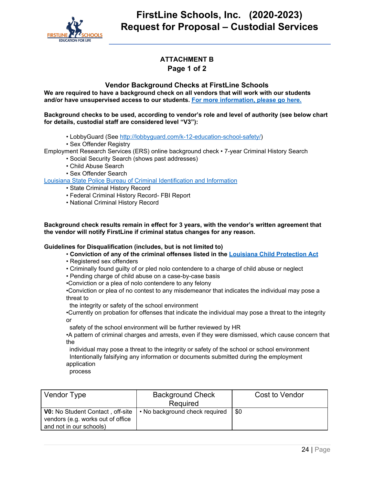

# **ATTACHMENT B Page 1 of 2**

#### **Vendor Background Checks at FirstLine Schools**

**We are required to have a background check on all vendors that will work with our students and/or have unsupervised access to our students. For more [information,](http://www.louisianabelieves.com/docs/school-choice/faq---background-check.pdf?sfvrsn=2) please go here.**

**Background checks to be used, according to vendor's role and level of authority (see below chart for details, custodial staff are considered level "V3"):**

- LobbyGuard (See [http://lobbyguard.com/k-12-education-school-safety/\)](http://lobbyguard.com/k-12-education-school-safety/)
- Sex Offender Registry

Employment Research Services (ERS) online background check • 7-year Criminal History Search

- Social Security Search (shows past addresses)
- Child Abuse Search
- Sex Offender Search

Louisiana State Police Bureau of Criminal [Identification](https://drive.google.com/file/d/0B4SABbWt3vfNNmcwSWpmb0tyMm8/view) and Information

- State Criminal History Record
- Federal Criminal History Record- FBI Report
- National Criminal History Record

**Background check results remain in effect for 3 years, with the vendor's written agreement that the vendor will notify FirstLine if criminal status changes for any reason.**

#### **Guidelines for Disqualification (includes, but is not limited to)**

- **Conviction of any of the criminal offenses listed in the Louisiana Child [Protection](http://www.legis.la.gov/legis/law.aspx?d=79264) Act**
- Registered sex offenders
- Criminally found guilty of or pled nolo contendere to a charge of child abuse or neglect
- Pending charge of child abuse on a case-by-case basis
- •Conviction or a plea of nolo contendere to any felony

•Conviction or plea of no contest to any misdemeanor that indicates the individual may pose a threat to

the integrity or safety of the school environment

•Currently on probation for offenses that indicate the individual may pose a threat to the integrity or

safety of the school environment will be further reviewed by HR

•A pattern of criminal charges and arrests, even if they were dismissed, which cause concern that the

individual may pose a threat to the integrity or safety of the school or school environment Intentionally falsifying any information or documents submitted during the employment application

process

| Vendor Type                                                                                             | <b>Background Check</b><br>Required | Cost to Vendor |
|---------------------------------------------------------------------------------------------------------|-------------------------------------|----------------|
| <b>V0: No Student Contact, off-site</b><br>vendors (e.g. works out of office<br>and not in our schools) | • No background check required      | \$0            |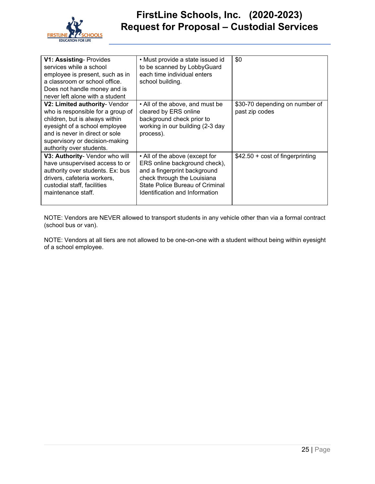

| <b>V1: Assisting-Provides</b><br>services while a school<br>employee is present, such as in<br>a classroom or school office.<br>Does not handle money and is<br>never left alone with a student                                       | • Must provide a state issued id<br>to be scanned by LobbyGuard<br>each time individual enters<br>school building.                                                                                  | \$0                                              |
|---------------------------------------------------------------------------------------------------------------------------------------------------------------------------------------------------------------------------------------|-----------------------------------------------------------------------------------------------------------------------------------------------------------------------------------------------------|--------------------------------------------------|
| V2: Limited authority- Vendor<br>who is responsible for a group of<br>children, but is always within<br>eyesight of a school employee<br>and is never in direct or sole<br>supervisory or decision-making<br>authority over students. | • All of the above, and must be<br>cleared by ERS online<br>background check prior to<br>working in our building (2-3 day<br>process).                                                              | \$30-70 depending on number of<br>past zip codes |
| V3: Authority- Vendor who will<br>have unsupervised access to or<br>authority over students. Ex: bus<br>drivers, cafeteria workers,<br>custodial staff, facilities<br>maintenance staff.                                              | • All of the above (except for<br>ERS online background check),<br>and a fingerprint background<br>check through the Louisiana<br>State Police Bureau of Criminal<br>Identification and Information | $$42.50 + cost of fingerprinting$                |

NOTE: Vendors are NEVER allowed to transport students in any vehicle other than via a formal contract (school bus or van).

NOTE: Vendors at all tiers are not allowed to be one-on-one with a student without being within eyesight of a school employee.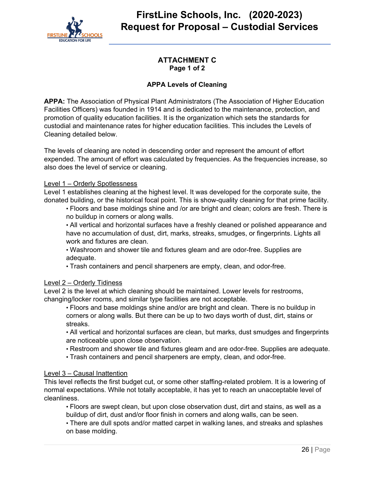

### **ATTACHMENT C Page 1 of 2**

#### **APPA Levels of Cleaning**

**APPA:** The Association of Physical Plant Administrators (The Association of Higher Education Facilities Officers) was founded in 1914 and is dedicated to the maintenance, protection, and promotion of quality education facilities. It is the organization which sets the standards for custodial and maintenance rates for higher education facilities. This includes the Levels of Cleaning detailed below.

The levels of cleaning are noted in descending order and represent the amount of effort expended. The amount of effort was calculated by frequencies. As the frequencies increase, so also does the level of service or cleaning.

#### Level 1 – Orderly Spotlessness

Level 1 establishes cleaning at the highest level. It was developed for the corporate suite, the donated building, or the historical focal point. This is show-quality cleaning for that prime facility.

• Floors and base moldings shine and /or are bright and clean; colors are fresh. There is no buildup in corners or along walls.

• All vertical and horizontal surfaces have a freshly cleaned or polished appearance and have no accumulation of dust, dirt, marks, streaks, smudges, or fingerprints. Lights all work and fixtures are clean.

• Washroom and shower tile and fixtures gleam and are odor-free. Supplies are adequate.

• Trash containers and pencil sharpeners are empty, clean, and odor-free.

#### Level 2 – Orderly Tidiness

Level 2 is the level at which cleaning should be maintained. Lower levels for restrooms, changing/locker rooms, and similar type facilities are not acceptable.

• Floors and base moldings shine and/or are bright and clean. There is no buildup in corners or along walls. But there can be up to two days worth of dust, dirt, stains or streaks.

• All vertical and horizontal surfaces are clean, but marks, dust smudges and fingerprints are noticeable upon close observation.

• Restroom and shower tile and fixtures gleam and are odor-free. Supplies are adequate.

• Trash containers and pencil sharpeners are empty, clean, and odor-free.

#### Level 3 – Causal Inattention

This level reflects the first budget cut, or some other staffing-related problem. It is a lowering of normal expectations. While not totally acceptable, it has yet to reach an unacceptable level of cleanliness.

• Floors are swept clean, but upon close observation dust, dirt and stains, as well as a buildup of dirt, dust and/or floor finish in corners and along walls, can be seen.

• There are dull spots and/or matted carpet in walking lanes, and streaks and splashes on base molding.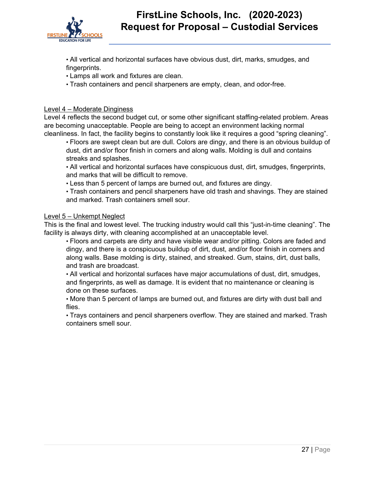

• All vertical and horizontal surfaces have obvious dust, dirt, marks, smudges, and fingerprints.

- Lamps all work and fixtures are clean.
- Trash containers and pencil sharpeners are empty, clean, and odor-free.

#### Level 4 – Moderate Dinginess

Level 4 reflects the second budget cut, or some other significant staffing-related problem. Areas are becoming unacceptable. People are being to accept an environment lacking normal cleanliness. In fact, the facility begins to constantly look like it requires a good "spring cleaning".

• Floors are swept clean but are dull. Colors are dingy, and there is an obvious buildup of dust, dirt and/or floor finish in corners and along walls. Molding is dull and contains streaks and splashes.

• All vertical and horizontal surfaces have conspicuous dust, dirt, smudges, fingerprints, and marks that will be difficult to remove.

• Less than 5 percent of lamps are burned out, and fixtures are dingy.

• Trash containers and pencil sharpeners have old trash and shavings. They are stained and marked. Trash containers smell sour.

#### Level 5 – Unkempt Neglect

This is the final and lowest level. The trucking industry would call this "just-in-time cleaning". The facility is always dirty, with cleaning accomplished at an unacceptable level.

• Floors and carpets are dirty and have visible wear and/or pitting. Colors are faded and dingy, and there is a conspicuous buildup of dirt, dust, and/or floor finish in corners and along walls. Base molding is dirty, stained, and streaked. Gum, stains, dirt, dust balls, and trash are broadcast.

• All vertical and horizontal surfaces have major accumulations of dust, dirt, smudges, and fingerprints, as well as damage. It is evident that no maintenance or cleaning is done on these surfaces.

• More than 5 percent of lamps are burned out, and fixtures are dirty with dust ball and flies.

• Trays containers and pencil sharpeners overflow. They are stained and marked. Trash containers smell sour.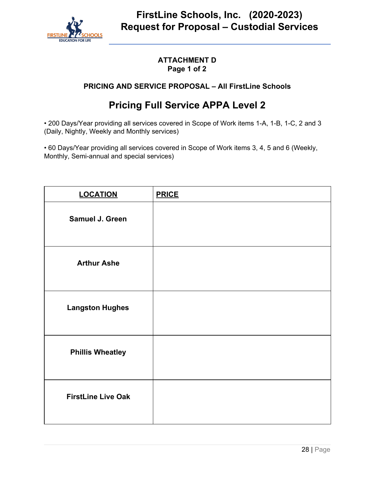

# **ATTACHMENT D Page 1 of 2**

# **PRICING AND SERVICE PROPOSAL – All FirstLine Schools**

# **Pricing Full Service APPA Level 2**

• 200 Days/Year providing all services covered in Scope of Work items 1-A, 1-B, 1-C, 2 and 3 (Daily, Nightly, Weekly and Monthly services)

• 60 Days/Year providing all services covered in Scope of Work items 3, 4, 5 and 6 (Weekly, Monthly, Semi-annual and special services)

| <b>LOCATION</b>           | <b>PRICE</b> |
|---------------------------|--------------|
| <b>Samuel J. Green</b>    |              |
| <b>Arthur Ashe</b>        |              |
| <b>Langston Hughes</b>    |              |
| <b>Phillis Wheatley</b>   |              |
| <b>FirstLine Live Oak</b> |              |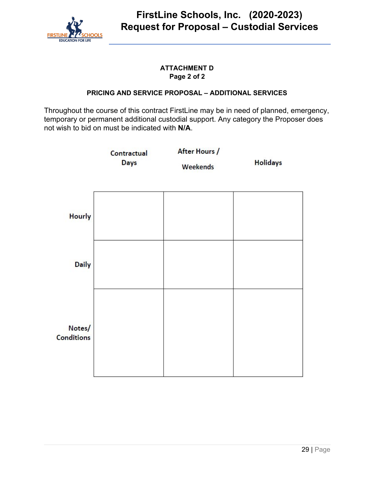

#### **ATTACHMENT D Page 2 of 2**

#### **PRICING AND SERVICE PROPOSAL – ADDITIONAL SERVICES**

Throughout the course of this contract FirstLine may be in need of planned, emergency, temporary or permanent additional custodial support. Any category the Proposer does not wish to bid on must be indicated with **N/A**.

|                             | Contractual<br><b>Days</b> | After Hours /<br>Weekends | <b>Holidays</b> |
|-----------------------------|----------------------------|---------------------------|-----------------|
| <b>Hourly</b>               |                            |                           |                 |
| <b>Daily</b>                |                            |                           |                 |
| Notes/<br><b>Conditions</b> |                            |                           |                 |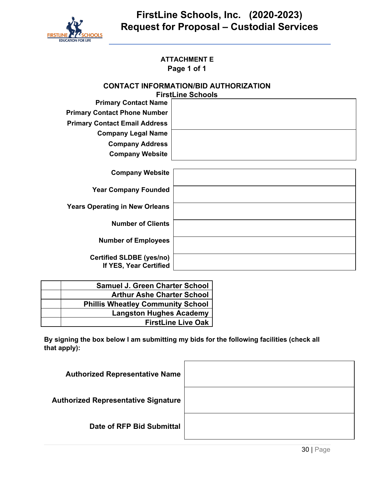

# **ATTACHMENT E Page 1 of 1**

### **CONTACT INFORMATION/BID AUTHORIZATION**

|                                                 | <b>FirstLine Schools</b> |
|-------------------------------------------------|--------------------------|
| <b>Primary Contact Name</b>                     |                          |
| <b>Primary Contact Phone Number</b>             |                          |
| <b>Primary Contact Email Address</b>            |                          |
| <b>Company Legal Name</b>                       |                          |
| <b>Company Address</b>                          |                          |
| <b>Company Website</b>                          |                          |
|                                                 |                          |
| <b>Company Website</b>                          |                          |
|                                                 |                          |
| <b>Year Company Founded</b>                     |                          |
| <b>Years Operating in New Orleans</b>           |                          |
|                                                 |                          |
| <b>Number of Clients</b>                        |                          |
| <b>Number of Employees</b>                      |                          |
|                                                 |                          |
| <b>Certified SLDBE (yes/no)</b><br>$\mathbf{r}$ |                          |

**If YES, Year Certified**

| <b>Samuel J. Green Charter School</b>    |
|------------------------------------------|
| <b>Arthur Ashe Charter School</b>        |
| <b>Phillis Wheatley Community School</b> |
| <b>Langston Hughes Academy</b>           |
| <b>FirstLine Live Oak</b>                |

**By signing the box below I am submitting my bids for the following facilities (check all that apply):**

| <b>Authorized Representative Name</b>      |  |
|--------------------------------------------|--|
| <b>Authorized Representative Signature</b> |  |
| Date of RFP Bid Submittal                  |  |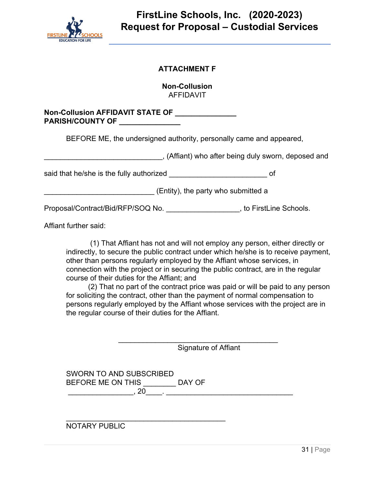

### **ATTACHMENT F**

**Non-Collusion** AFFIDAVIT

# Non-Collusion AFFIDAVIT STATE OF **With Armstrale Collection** PARISH/COUNTY OF

BEFORE ME, the undersigned authority, personally came and appeared,

\_\_\_\_\_\_\_\_\_\_\_\_\_\_\_\_\_\_\_\_\_\_\_\_\_\_\_\_\_, (Affiant) who after being duly sworn, deposed and

said that he/she is the fully authorized  $\qquad \qquad$  of

\_\_\_\_\_\_\_\_\_\_\_\_\_\_\_\_\_\_\_\_\_\_\_\_\_\_\_ (Entity), the party who submitted a

Proposal/Contract/Bid/RFP/SOQ No.  $\qquad \qquad$ , to FirstLine Schools.

Affiant further said:

 (1) That Affiant has not and will not employ any person, either directly or indirectly, to secure the public contract under which he/she is to receive payment, other than persons regularly employed by the Affiant whose services, in connection with the project or in securing the public contract, are in the regular course of their duties for the Affiant; and

(2) That no part of the contract price was paid or will be paid to any person for soliciting the contract, other than the payment of normal compensation to persons regularly employed by the Affiant whose services with the project are in the regular course of their duties for the Affiant.

\_\_\_\_\_\_\_\_\_\_\_\_\_\_\_\_\_\_\_\_\_\_\_\_\_\_\_\_\_\_\_\_\_\_\_\_\_\_\_

Signature of Affiant

SWORN TO AND SUBSCRIBED BEFORE ME ON THIS \_\_\_\_\_\_\_\_\_\_ DAY OF  $, 20$ 

\_\_\_\_\_\_\_\_\_\_\_\_\_\_\_\_\_\_\_\_\_\_\_\_\_\_\_\_\_\_\_\_\_\_\_\_\_\_\_

NOTARY PUBLIC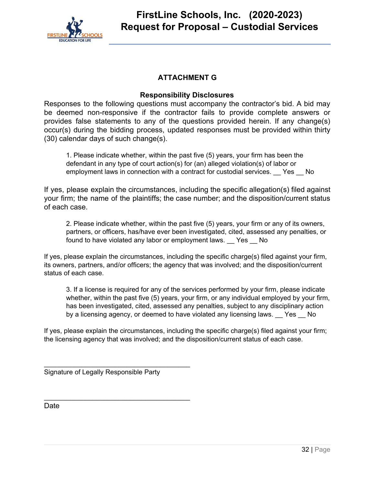

# **ATTACHMENT G**

### **Responsibility Disclosures**

Responses to the following questions must accompany the contractor's bid. A bid may be deemed non-responsive if the contractor fails to provide complete answers or provides false statements to any of the questions provided herein. If any change(s) occur(s) during the bidding process, updated responses must be provided within thirty (30) calendar days of such change(s).

1. Please indicate whether, within the past five (5) years, your firm has been the defendant in any type of court action(s) for (an) alleged violation(s) of labor or employment laws in connection with a contract for custodial services. Yes No

If yes, please explain the circumstances, including the specific allegation(s) filed against your firm; the name of the plaintiffs; the case number; and the disposition/current status of each case.

2. Please indicate whether, within the past five (5) years, your firm or any of its owners, partners, or officers, has/have ever been investigated, cited, assessed any penalties, or found to have violated any labor or employment laws. Figs No

If yes, please explain the circumstances, including the specific charge(s) filed against your firm, its owners, partners, and/or officers; the agency that was involved; and the disposition/current status of each case.

3. If a license is required for any of the services performed by your firm, please indicate whether, within the past five (5) years, your firm, or any individual employed by your firm, has been investigated, cited, assessed any penalties, subject to any disciplinary action by a licensing agency, or deemed to have violated any licensing laws. Yes No

If yes, please explain the circumstances, including the specific charge(s) filed against your firm; the licensing agency that was involved; and the disposition/current status of each case.

Signature of Legally Responsible Party

\_\_\_\_\_\_\_\_\_\_\_\_\_\_\_\_\_\_\_\_\_\_\_\_\_\_\_\_\_\_\_\_\_\_\_\_\_\_\_

\_\_\_\_\_\_\_\_\_\_\_\_\_\_\_\_\_\_\_\_\_\_\_\_\_\_\_\_\_\_\_\_\_\_\_\_\_\_\_

Date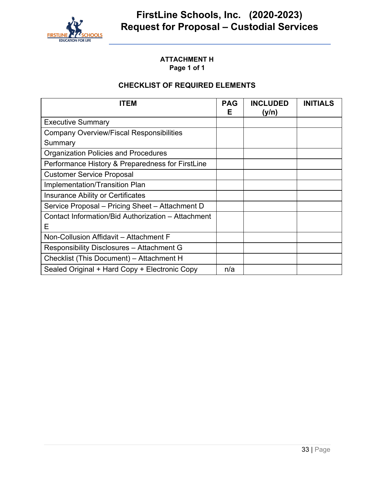

#### **ATTACHMENT H Page 1 of 1**

# **CHECKLIST OF REQUIRED ELEMENTS**

| <b>ITEM</b>                                        | <b>PAG</b><br>Е | <b>INCLUDED</b><br>(y/n) | <b>INITIALS</b> |
|----------------------------------------------------|-----------------|--------------------------|-----------------|
| <b>Executive Summary</b>                           |                 |                          |                 |
| <b>Company Overview/Fiscal Responsibilities</b>    |                 |                          |                 |
| Summary                                            |                 |                          |                 |
| Organization Policies and Procedures               |                 |                          |                 |
| Performance History & Preparedness for FirstLine   |                 |                          |                 |
| <b>Customer Service Proposal</b>                   |                 |                          |                 |
| Implementation/Transition Plan                     |                 |                          |                 |
| <b>Insurance Ability or Certificates</b>           |                 |                          |                 |
| Service Proposal – Pricing Sheet – Attachment D    |                 |                          |                 |
| Contact Information/Bid Authorization - Attachment |                 |                          |                 |
| F                                                  |                 |                          |                 |
| Non-Collusion Affidavit – Attachment F             |                 |                          |                 |
| Responsibility Disclosures - Attachment G          |                 |                          |                 |
| Checklist (This Document) – Attachment H           |                 |                          |                 |
| Sealed Original + Hard Copy + Electronic Copy      |                 |                          |                 |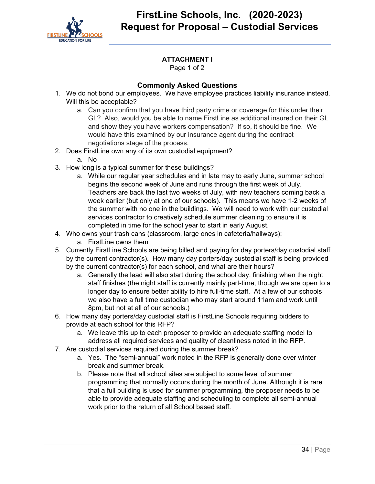

### **ATTACHMENT I**

Page 1 of 2

### **Commonly Asked Questions**

- 1. We do not bond our employees. We have employee practices liability insurance instead. Will this be acceptable?
	- a. Can you confirm that you have third party crime or coverage for this under their GL? Also, would you be able to name FirstLine as additional insured on their GL and show they you have workers compensation? If so, it should be fine. We would have this examined by our insurance agent during the contract negotiations stage of the process.
- 2. Does FirstLine own any of its own custodial equipment?
	- a. No
- 3. How long is a typical summer for these buildings?
	- a. While our regular year schedules end in late may to early June, summer school begins the second week of June and runs through the first week of July. Teachers are back the last two weeks of July, with new teachers coming back a week earlier (but only at one of our schools). This means we have 1-2 weeks of the summer with no one in the buildings. We will need to work with our custodial services contractor to creatively schedule summer cleaning to ensure it is completed in time for the school year to start in early August.
- 4. Who owns your trash cans (classroom, large ones in cafeteria/hallways):
	- a. FirstLine owns them
- 5. Currently FirstLine Schools are being billed and paying for day porters/day custodial staff by the current contractor(s). How many day porters/day custodial staff is being provided by the current contractor(s) for each school, and what are their hours?
	- a. Generally the lead will also start during the school day, finishing when the night staff finishes (the night staff is currently mainly part-time, though we are open to a longer day to ensure better ability to hire full-time staff. At a few of our schools we also have a full time custodian who may start around 11am and work until 8pm, but not at all of our schools.)
- 6. How many day porters/day custodial staff is FirstLine Schools requiring bidders to provide at each school for this RFP?
	- a. We leave this up to each proposer to provide an adequate staffing model to address all required services and quality of cleanliness noted in the RFP.
- 7. Are custodial services required during the summer break?
	- a. Yes. The "semi-annual" work noted in the RFP is generally done over winter break and summer break.
	- b. Please note that all school sites are subject to some level of summer programming that normally occurs during the month of June. Although it is rare that a full building is used for summer programming, the proposer needs to be able to provide adequate staffing and scheduling to complete all semi-annual work prior to the return of all School based staff.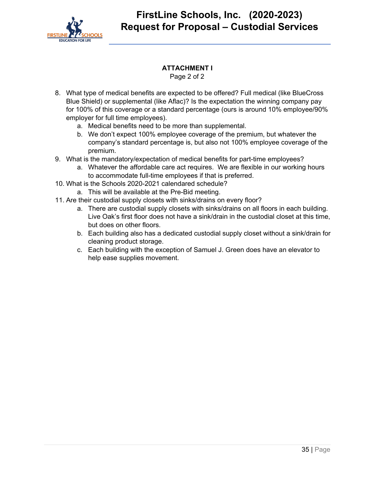

# **ATTACHMENT I**

Page 2 of 2

- 8. What type of medical benefits are expected to be offered? Full medical (like BlueCross Blue Shield) or supplemental (like Aflac)? Is the expectation the winning company pay for 100% of this coverage or a standard percentage (ours is around 10% employee/90% employer for full time employees).
	- a. Medical benefits need to be more than supplemental.
	- b. We don't expect 100% employee coverage of the premium, but whatever the company's standard percentage is, but also not 100% employee coverage of the premium.
- 9. What is the mandatory/expectation of medical benefits for part-time employees?
	- a. Whatever the affordable care act requires. We are flexible in our working hours to accommodate full-time employees if that is preferred.
- 10. What is the Schools 2020-2021 calendared schedule?
	- a. This will be available at the Pre-Bid meeting.
- 11. Are their custodial supply closets with sinks/drains on every floor?
	- a. There are custodial supply closets with sinks/drains on all floors in each building. Live Oak's first floor does not have a sink/drain in the custodial closet at this time, but does on other floors.
	- b. Each building also has a dedicated custodial supply closet without a sink/drain for cleaning product storage.
	- c. Each building with the exception of Samuel J. Green does have an elevator to help ease supplies movement.